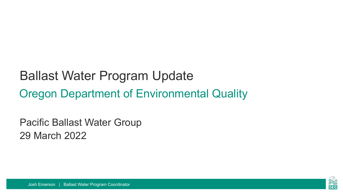#### Ballast Water Program Update Oregon Department of Environmental Quality

Pacific Ballast Water Group 29 March 2022

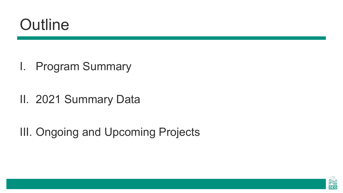#### **Outline**

- I. Program Summary
- II. 2021 Summary Data

III. Ongoing and Upcoming Projects

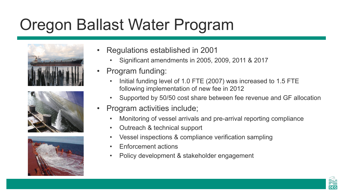#### Oregon Ballast Water Program







- Regulations established in 2001
	- Significant amendments in 2005, 2009, 2011 & 2017
- Program funding:
	- Initial funding level of 1.0 FTE (2007) was increased to 1.5 FTE following implementation of new fee in 2012
	- Supported by 50/50 cost share between fee revenue and GF allocation
- Program activities include;
	- Monitoring of vessel arrivals and pre-arrival reporting compliance
	- Outreach & technical support
	- Vessel inspections & compliance verification sampling
	- Enforcement actions
	- Policy development & stakeholder engagement

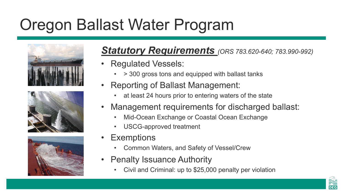## Oregon Ballast Water Program







#### *Statutory Requirements (ORS 783.620-640; 783.990-992)*

- Regulated Vessels:
	- > 300 gross tons and equipped with ballast tanks
- Reporting of Ballast Management:
	- at least 24 hours prior to entering waters of the state
- Management requirements for discharged ballast:
	- Mid-Ocean Exchange or Coastal Ocean Exchange
	- USCG-approved treatment
- Exemptions
	- Common Waters, and Safety of Vessel/Crew
- Penalty Issuance Authority
	- Civil and Criminal: up to \$25,000 penalty per violation

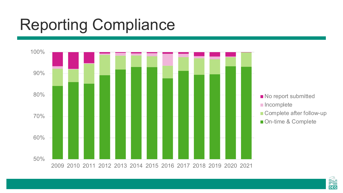# Reporting Compliance



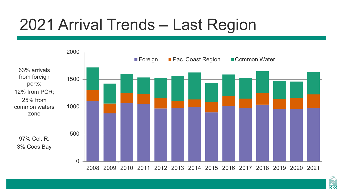## 2021 Arrival Trends – Last Region



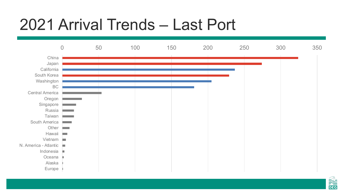#### 2021 Arrival Trends – Last Port



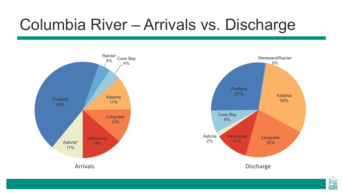#### Columbia River – Arrivals vs. Discharge





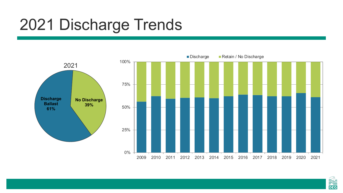#### 2021 Discharge Trends



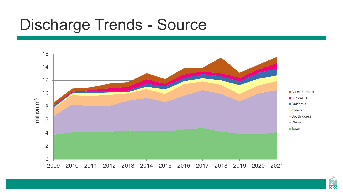#### Discharge Trends - Source



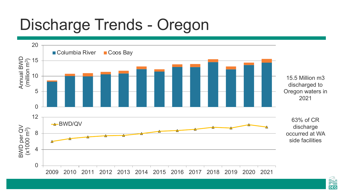## Discharge Trends - Oregon



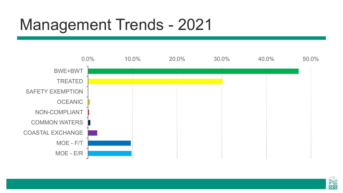#### Management Trends - 2021



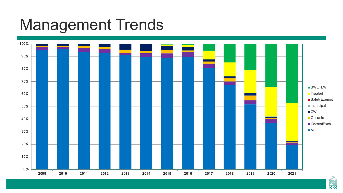#### Management Trends



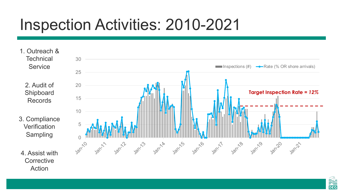## Inspection Activities: 2010-2021

- 1. Outreach & **Technical Service** 
	- 2. Audit of Shipboard Records
- 3. Compliance **Verification** Sampling
- 4. Assist with **Corrective** Action



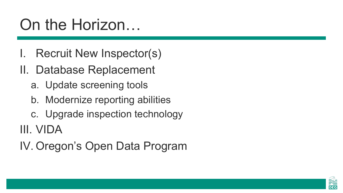#### On the Horizon…

- Recruit New Inspector(s)
- II. Database Replacement
	- a. Update screening tools
	- b. Modernize reporting abilities
	- c. Upgrade inspection technology

III. VIDA

IV. Oregon's Open Data Program